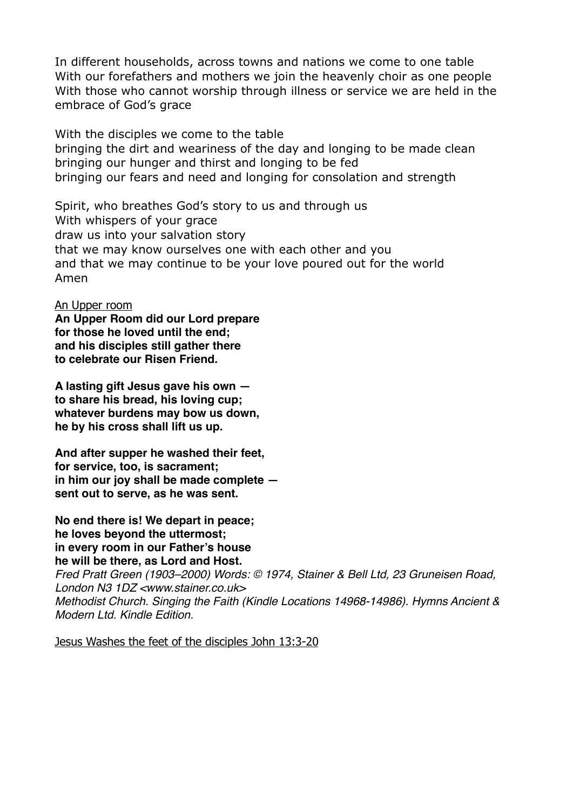In different households, across towns and nations we come to one table With our forefathers and mothers we join the heavenly choir as one people With those who cannot worship through illness or service we are held in the embrace of God's grace

With the disciples we come to the table bringing the dirt and weariness of the day and longing to be made clean bringing our hunger and thirst and longing to be fed bringing our fears and need and longing for consolation and strength

Spirit, who breathes God's story to us and through us With whispers of your grace draw us into your salvation story that we may know ourselves one with each other and you and that we may continue to be your love poured out for the world Amen

An Upper room

**An Upper Room did our Lord prepare**  for those he loved until the end: **and his disciples still gather there to celebrate our Risen Friend.** 

**A lasting gift Jesus gave his own to share his bread, his loving cup; whatever burdens may bow us down, he by his cross shall lift us up.** 

**And after supper he washed their feet,**  for service, too, is sacrament; **in him our joy shall be made complete sent out to serve, as he was sent.** 

**No end there is! We depart in peace; he loves beyond the uttermost; in every room in our Father's house he will be there, as Lord and Host.** 

*Fred Pratt Green (1903–2000) Words: © 1974, Stainer & Bell Ltd, 23 Gruneisen Road, London N3 1DZ <www.stainer.co.uk> Methodist Church. Singing the Faith (Kindle Locations 14968-14986). Hymns Ancient & Modern Ltd. Kindle Edition.* 

Jesus Washes the feet of the disciples John 13:3-20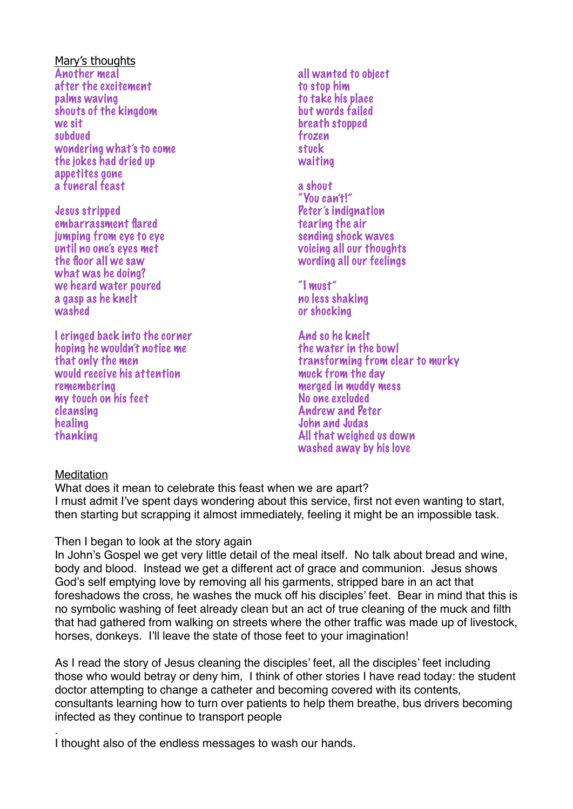Mary's thoughts Another meal after the excitement palms waving shouts of the kingdom we sit subdued wondering what's to come the jokes had dried up appetites gone a funeral feast

Jesus stripped embarrassment flared jumping from eye to eye until no one's eyes met the floor all we saw what was he doing? we heard water poured a gasp as he knelt washed

I cringed back into the corner hoping he wouldn't notice me that only the men would receive his attention remembering my touch on his feet cleansing healing thanking

- all wanted to object to stop him to take his place but words failed breath stopped frozen stuck waiting
- a shout "You can't!" Peter's indignation tearing the air sending shock waves voicing all our thoughts wording all our feelings

"I must" no less shaking or shocking

And so he knelt the water in the bowl transforming from clear to murky muck from the day merged in muddy mess No one excluded Andrew and Peter John and Judas All that weighed us down washed away by his love

## **Meditation**

.

What does it mean to celebrate this feast when we are apart? I must admit I've spent days wondering about this service, first not even wanting to start, then starting but scrapping it almost immediately, feeling it might be an impossible task.

## Then I began to look at the story again

In John's Gospel we get very little detail of the meal itself. No talk about bread and wine, body and blood. Instead we get a different act of grace and communion. Jesus shows God's self emptying love by removing all his garments, stripped bare in an act that foreshadows the cross, he washes the muck off his disciples' feet. Bear in mind that this is no symbolic washing of feet already clean but an act of true cleaning of the muck and filth that had gathered from walking on streets where the other traffic was made up of livestock, horses, donkeys. I'll leave the state of those feet to your imagination!

As I read the story of Jesus cleaning the disciples' feet, all the disciples' feet including those who would betray or deny him, I think of other stories I have read today: the student doctor attempting to change a catheter and becoming covered with its contents, consultants learning how to turn over patients to help them breathe, bus drivers becoming infected as they continue to transport people

I thought also of the endless messages to wash our hands.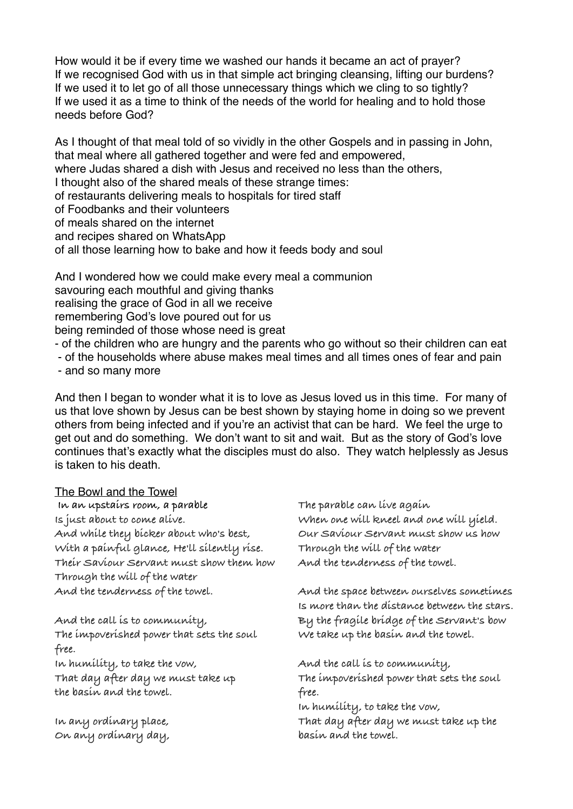How would it be if every time we washed our hands it became an act of prayer? If we recognised God with us in that simple act bringing cleansing, lifting our burdens? If we used it to let go of all those unnecessary things which we cling to so tightly? If we used it as a time to think of the needs of the world for healing and to hold those needs before God?

As I thought of that meal told of so vividly in the other Gospels and in passing in John, that meal where all gathered together and were fed and empowered, where Judas shared a dish with Jesus and received no less than the others, I thought also of the shared meals of these strange times: of restaurants delivering meals to hospitals for tired staff of Foodbanks and their volunteers of meals shared on the internet and recipes shared on WhatsApp of all those learning how to bake and how it feeds body and soul

And I wondered how we could make every meal a communion savouring each mouthful and giving thanks realising the grace of God in all we receive remembering God's love poured out for us being reminded of those whose need is great

- of the children who are hungry and the parents who go without so their children can eat
- of the households where abuse makes meal times and all times ones of fear and pain

- and so many more

And then I began to wonder what it is to love as Jesus loved us in this time. For many of us that love shown by Jesus can be best shown by staying home in doing so we prevent others from being infected and if you're an activist that can be hard. We feel the urge to get out and do something. We don't want to sit and wait. But as the story of God's love continues that's exactly what the disciples must do also. They watch helplessly as Jesus is taken to his death.

## The Bowl and the Towel  **In an upstairs room, a parable Is just about to come alive.**

**And while they bicker about who's best, With a painful glance, He'll silently rise. Their Saviour Servant must show them how Through the will of the water And the tenderness of the towel.** 

**And the call is to community, The impoverished power that sets the soul free. In humility, to take the vow, That day after day we must take up** 

**the basin and the towel.** 

**In any ordinary place, On any ordinary day,** 

**The parable can live again When one will kneel and one will yield. Our Saviour Servant must show us how Through the will of the water And the tenderness of the towel.** 

**And the space between ourselves sometimes Is more than the distance between the stars. By the fragile bridge of the Servant's bow We take up the basin and the towel.** 

**And the call is to community, The impoverished power that sets the soul free.** 

**In humility, to take the vow,** 

**That day after day we must take up the basin and the towel.**